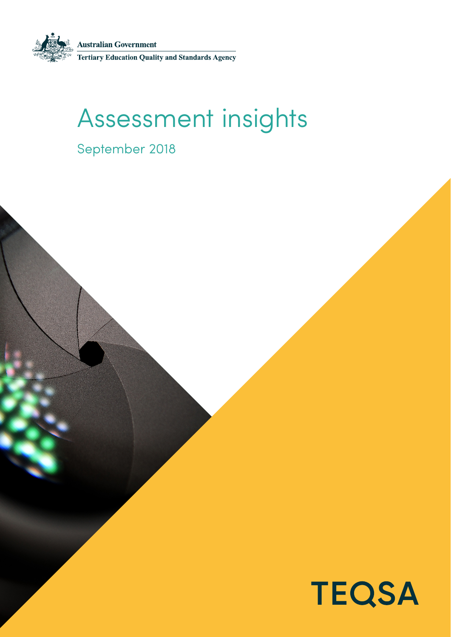**Australian Government<br>Tertiary Education Quality and Standards Agency** 

# Assessment insights

September 2018

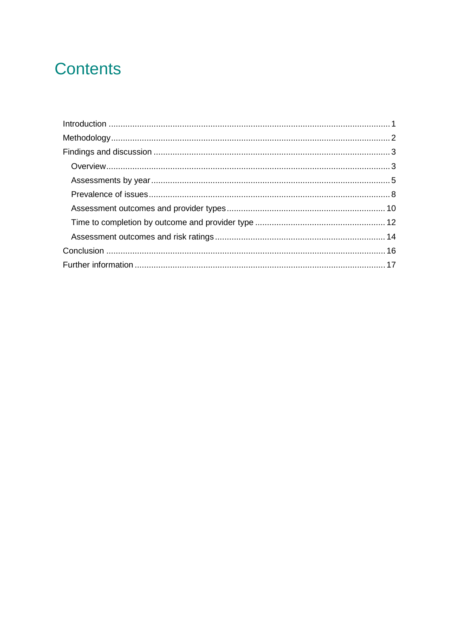## **Contents**

<span id="page-1-0"></span>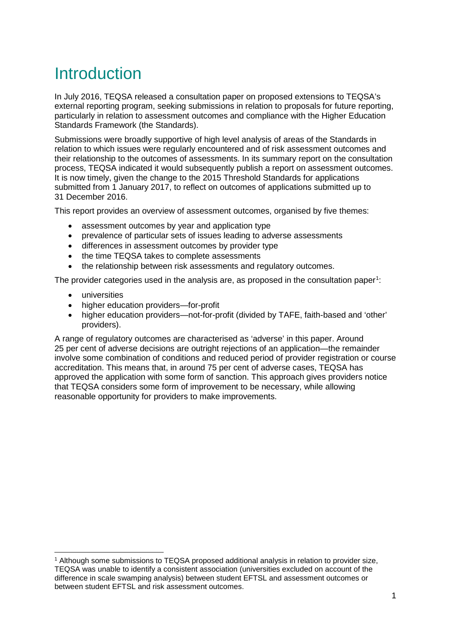## Introduction

In July 2016, TEQSA released a consultation paper on proposed extensions to TEQSA's external reporting program, seeking submissions in relation to proposals for future reporting. particularly in relation to assessment outcomes and compliance with the Higher Education Standards Framework (the Standards).

Submissions were broadly supportive of high level analysis of areas of the Standards in relation to which issues were regularly encountered and of risk assessment outcomes and their relationship to the outcomes of assessments. In its summary report on the consultation process, TEQSA indicated it would subsequently publish a report on assessment outcomes. It is now timely, given the change to the 2015 Threshold Standards for applications submitted from 1 January 2017, to reflect on outcomes of applications submitted up to 31 December 2016.

This report provides an overview of assessment outcomes, organised by five themes:

- assessment outcomes by year and application type
- prevalence of particular sets of issues leading to adverse assessments
- differences in assessment outcomes by provider type
- the time TEQSA takes to complete assessments
- the relationship between risk assessments and regulatory outcomes.

The provider categories used in the analysis are, as proposed in the consultation paper<sup>[1](#page-2-0)</sup>:

- universities
- higher education providers—for-profit
- higher education providers—not-for-profit (divided by TAFE, faith-based and 'other' providers).

A range of regulatory outcomes are characterised as 'adverse' in this paper. Around 25 per cent of adverse decisions are outright rejections of an application—the remainder involve some combination of conditions and reduced period of provider registration or course accreditation. This means that, in around 75 per cent of adverse cases, TEQSA has approved the application with some form of sanction. This approach gives providers notice that TEQSA considers some form of improvement to be necessary, while allowing reasonable opportunity for providers to make improvements.

<span id="page-2-0"></span> <sup>1</sup> Although some submissions to TEQSA proposed additional analysis in relation to provider size, TEQSA was unable to identify a consistent association (universities excluded on account of the difference in scale swamping analysis) between student EFTSL and assessment outcomes or between student EFTSL and risk assessment outcomes.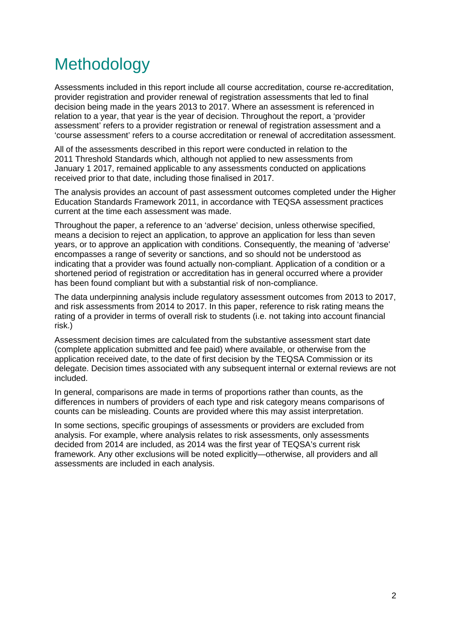## <span id="page-3-0"></span>Methodology

Assessments included in this report include all course accreditation, course re-accreditation, provider registration and provider renewal of registration assessments that led to final decision being made in the years 2013 to 2017. Where an assessment is referenced in relation to a year, that year is the year of decision. Throughout the report, a 'provider assessment' refers to a provider registration or renewal of registration assessment and a 'course assessment' refers to a course accreditation or renewal of accreditation assessment.

All of the assessments described in this report were conducted in relation to the 2011 Threshold Standards which, although not applied to new assessments from January 1 2017, remained applicable to any assessments conducted on applications received prior to that date, including those finalised in 2017.

The analysis provides an account of past assessment outcomes completed under the Higher Education Standards Framework 2011, in accordance with TEQSA assessment practices current at the time each assessment was made.

Throughout the paper, a reference to an 'adverse' decision, unless otherwise specified, means a decision to reject an application, to approve an application for less than seven years, or to approve an application with conditions. Consequently, the meaning of 'adverse' encompasses a range of severity or sanctions, and so should not be understood as indicating that a provider was found actually non-compliant. Application of a condition or a shortened period of registration or accreditation has in general occurred where a provider has been found compliant but with a substantial risk of non-compliance.

The data underpinning analysis include regulatory assessment outcomes from 2013 to 2017, and risk assessments from 2014 to 2017. In this paper, reference to risk rating means the rating of a provider in terms of overall risk to students (i.e. not taking into account financial risk.)

Assessment decision times are calculated from the substantive assessment start date (complete application submitted and fee paid) where available, or otherwise from the application received date, to the date of first decision by the TEQSA Commission or its delegate. Decision times associated with any subsequent internal or external reviews are not included.

In general, comparisons are made in terms of proportions rather than counts, as the differences in numbers of providers of each type and risk category means comparisons of counts can be misleading. Counts are provided where this may assist interpretation.

In some sections, specific groupings of assessments or providers are excluded from analysis. For example, where analysis relates to risk assessments, only assessments decided from 2014 are included, as 2014 was the first year of TEQSA's current risk framework. Any other exclusions will be noted explicitly—otherwise, all providers and all assessments are included in each analysis.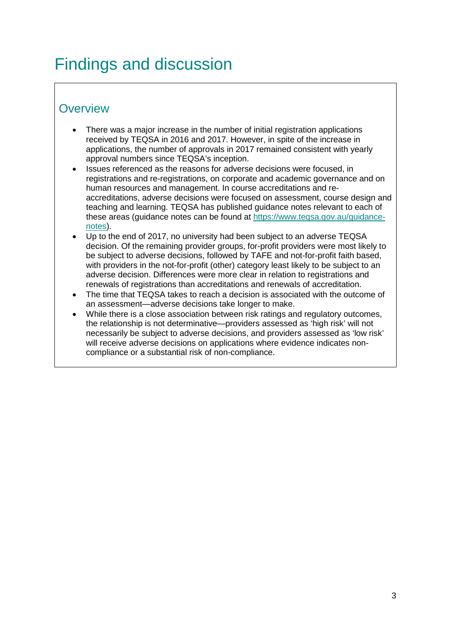## <span id="page-4-0"></span>Findings and discussion

## <span id="page-4-1"></span>**Overview**

- There was a major increase in the number of initial registration applications received by TEQSA in 2016 and 2017. However, in spite of the increase in applications, the number of approvals in 2017 remained consistent with yearly approval numbers since TEQSA's inception.
- Issues referenced as the reasons for adverse decisions were focused, in registrations and re-registrations, on corporate and academic governance and on human resources and management. In course accreditations and reaccreditations, adverse decisions were focused on assessment, course design and teaching and learning. TEQSA has published guidance notes relevant to each of these areas (guidance notes can be found at [https://www.teqsa.gov.au/guidance](https://www.teqsa.gov.au/guidance-notes)[notes\)](https://www.teqsa.gov.au/guidance-notes).
- Up to the end of 2017, no university had been subject to an adverse TEQSA decision. Of the remaining provider groups, for-profit providers were most likely to be subject to adverse decisions, followed by TAFE and not-for-profit faith based, with providers in the not-for-profit (other) category least likely to be subject to an adverse decision. Differences were more clear in relation to registrations and renewals of registrations than accreditations and renewals of accreditation.
- The time that TEQSA takes to reach a decision is associated with the outcome of an assessment—adverse decisions take longer to make.
- While there is a close association between risk ratings and regulatory outcomes, the relationship is not determinative—providers assessed as 'high risk' will not necessarily be subject to adverse decisions, and providers assessed as 'low risk' will receive adverse decisions on applications where evidence indicates noncompliance or a substantial risk of non-compliance.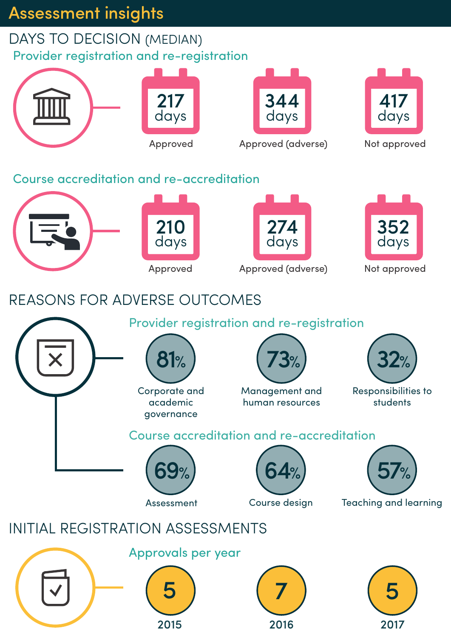## Assessment insights

## DAYS TO DECISION (MEDIAN) Provider registration and re-registration



2015

2016

2017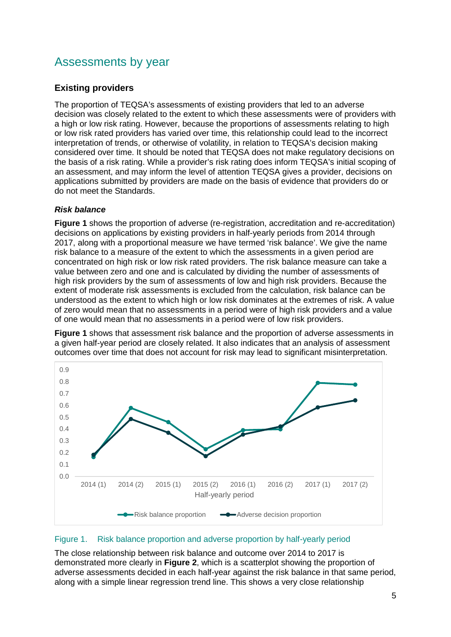## Assessments by year

### **Existing providers**

The proportion of TEQSA's assessments of existing providers that led to an adverse decision was closely related to the extent to which these assessments were of providers with a high or low risk rating. However, because the proportions of assessments relating to high or low risk rated providers has varied over time, this relationship could lead to the incorrect interpretation of trends, or otherwise of volatility, in relation to TEQSA's decision making considered over time. It should be noted that TEQSA does not make regulatory decisions on the basis of a risk rating. While a provider's risk rating does inform TEQSA's initial scoping of an assessment, and may inform the level of attention TEQSA gives a provider, decisions on applications submitted by providers are made on the basis of evidence that providers do or do not meet the Standards.

### *Risk balance*

**Figure 1** shows the proportion of adverse (re-registration, accreditation and re-accreditation) decisions on applications by existing providers in half-yearly periods from 2014 through 2017, along with a proportional measure we have termed 'risk balance'. We give the name risk balance to a measure of the extent to which the assessments in a given period are concentrated on high risk or low risk rated providers. The risk balance measure can take a value between zero and one and is calculated by dividing the number of assessments of high risk providers by the sum of assessments of low and high risk providers. Because the extent of moderate risk assessments is excluded from the calculation, risk balance can be understood as the extent to which high or low risk dominates at the extremes of risk. A value of zero would mean that no assessments in a period were of high risk providers and a value of one would mean that no assessments in a period were of low risk providers.

**Figure 1** shows that assessment risk balance and the proportion of adverse assessments in a given half-year period are closely related. It also indicates that an analysis of assessment outcomes over time that does not account for risk may lead to significant misinterpretation.



### Figure 1. Risk balance proportion and adverse proportion by half-yearly period

The close relationship between risk balance and outcome over 2014 to 2017 is demonstrated more clearly in **Figure 2**, which is a scatterplot showing the proportion of adverse assessments decided in each half-year against the risk balance in that same period, along with a simple linear regression trend line. This shows a very close relationship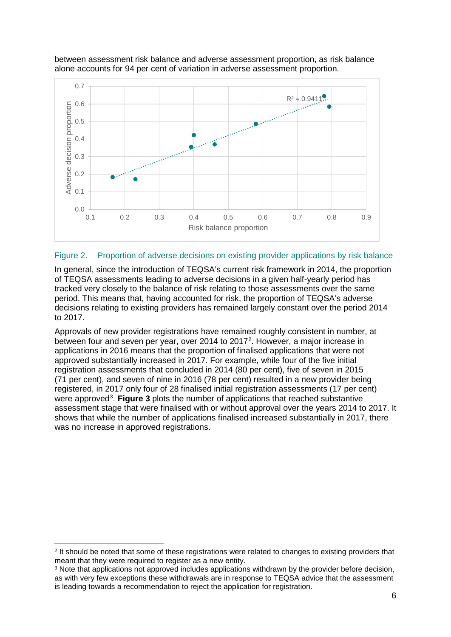

between assessment risk balance and adverse assessment proportion, as risk balance alone accounts for 94 per cent of variation in adverse assessment proportion.

#### Figure 2. Proportion of adverse decisions on existing provider applications by risk balance

In general, since the introduction of TEQSA's current risk framework in 2014, the proportion of TEQSA assessments leading to adverse decisions in a given half-yearly period has tracked very closely to the balance of risk relating to those assessments over the same period. This means that, having accounted for risk, the proportion of TEQSA's adverse decisions relating to existing providers has remained largely constant over the period 2014 to 2017.

Approvals of new provider registrations have remained roughly consistent in number, at between four and seven per year, over [2](#page-7-0)014 to 2017<sup>2</sup>. However, a major increase in applications in 2016 means that the proportion of finalised applications that were not approved substantially increased in 2017. For example, while four of the five initial registration assessments that concluded in 2014 (80 per cent), five of seven in 2015 (71 per cent), and seven of nine in 2016 (78 per cent) resulted in a new provider being registered, in 2017 only four of 28 finalised initial registration assessments (17 per cent) were approved<sup>[3](#page-7-1)</sup>. Figure 3 plots the number of applications that reached substantive assessment stage that were finalised with or without approval over the years 2014 to 2017. It shows that while the number of applications finalised increased substantially in 2017, there was no increase in approved registrations.

<span id="page-7-0"></span><sup>&</sup>lt;sup>2</sup> It should be noted that some of these registrations were related to changes to existing providers that meant that they were required to register as a new entity.

<span id="page-7-1"></span><sup>3</sup> Note that applications not approved includes applications withdrawn by the provider before decision, as with very few exceptions these withdrawals are in response to TEQSA advice that the assessment is leading towards a recommendation to reject the application for registration.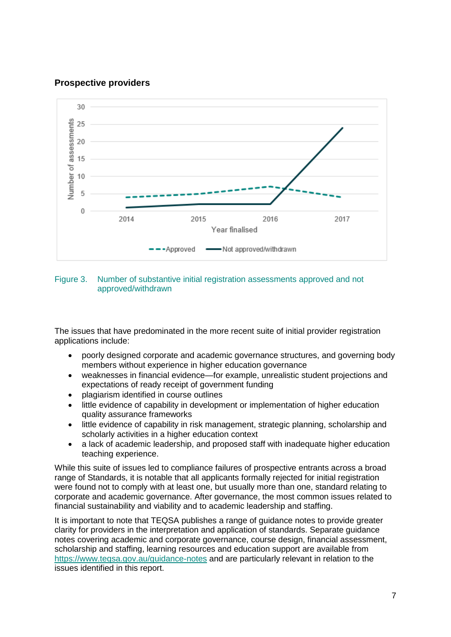### **Prospective providers**



#### Figure 3. Number of substantive initial registration assessments approved and not approved/withdrawn

The issues that have predominated in the more recent suite of initial provider registration applications include:

- poorly designed corporate and academic governance structures, and governing body members without experience in higher education governance
- weaknesses in financial evidence—for example, unrealistic student projections and expectations of ready receipt of government funding
- plagiarism identified in course outlines
- little evidence of capability in development or implementation of higher education quality assurance frameworks
- little evidence of capability in risk management, strategic planning, scholarship and scholarly activities in a higher education context
- a lack of academic leadership, and proposed staff with inadequate higher education teaching experience.

While this suite of issues led to compliance failures of prospective entrants across a broad range of Standards, it is notable that all applicants formally rejected for initial registration were found not to comply with at least one, but usually more than one, standard relating to corporate and academic governance. After governance, the most common issues related to financial sustainability and viability and to academic leadership and staffing.

It is important to note that TEQSA publishes a range of guidance notes to provide greater clarity for providers in the interpretation and application of standards. Separate guidance notes covering academic and corporate governance, course design, financial assessment, scholarship and staffing, learning resources and education support are available from <https://www.teqsa.gov.au/guidance-notes> and are particularly relevant in relation to the issues identified in this report.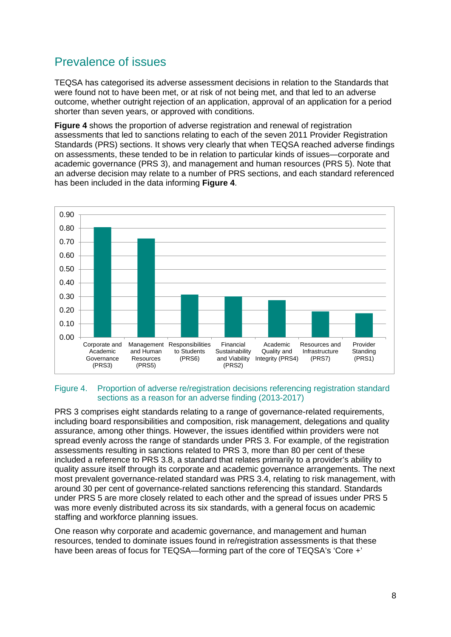## <span id="page-9-0"></span>Prevalence of issues

TEQSA has categorised its adverse assessment decisions in relation to the Standards that were found not to have been met, or at risk of not being met, and that led to an adverse outcome, whether outright rejection of an application, approval of an application for a period shorter than seven years, or approved with conditions.

**Figure 4** shows the proportion of adverse registration and renewal of registration assessments that led to sanctions relating to each of the seven 2011 Provider Registration Standards (PRS) sections. It shows very clearly that when TEQSA reached adverse findings on assessments, these tended to be in relation to particular kinds of issues—corporate and academic governance (PRS 3), and management and human resources (PRS 5). Note that an adverse decision may relate to a number of PRS sections, and each standard referenced has been included in the data informing **Figure 4**.



#### Figure 4. Proportion of adverse re/registration decisions referencing registration standard sections as a reason for an adverse finding (2013-2017)

PRS 3 comprises eight standards relating to a range of governance-related requirements, including board responsibilities and composition, risk management, delegations and quality assurance, among other things. However, the issues identified within providers were not spread evenly across the range of standards under PRS 3. For example, of the registration assessments resulting in sanctions related to PRS 3, more than 80 per cent of these included a reference to PRS 3.8, a standard that relates primarily to a provider's ability to quality assure itself through its corporate and academic governance arrangements. The next most prevalent governance-related standard was PRS 3.4, relating to risk management, with around 30 per cent of governance-related sanctions referencing this standard. Standards under PRS 5 are more closely related to each other and the spread of issues under PRS 5 was more evenly distributed across its six standards, with a general focus on academic staffing and workforce planning issues.

One reason why corporate and academic governance, and management and human resources, tended to dominate issues found in re/registration assessments is that these have been areas of focus for TEQSA—forming part of the core of TEQSA's 'Core +'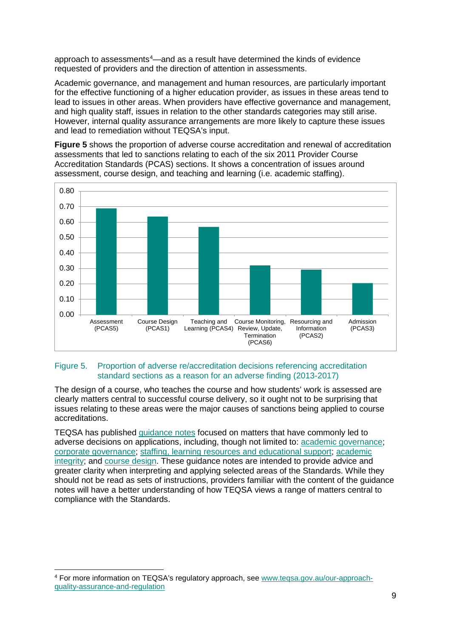approach to assessments<sup>[4](#page-10-0)</sup>—and as a result have determined the kinds of evidence requested of providers and the direction of attention in assessments.

Academic governance, and management and human resources, are particularly important for the effective functioning of a higher education provider, as issues in these areas tend to lead to issues in other areas. When providers have effective governance and management, and high quality staff, issues in relation to the other standards categories may still arise. However, internal quality assurance arrangements are more likely to capture these issues and lead to remediation without TEQSA's input.

**Figure 5** shows the proportion of adverse course accreditation and renewal of accreditation assessments that led to sanctions relating to each of the six 2011 Provider Course Accreditation Standards (PCAS) sections. It shows a concentration of issues around assessment, course design, and teaching and learning (i.e. academic staffing).



### Figure 5. Proportion of adverse re/accreditation decisions referencing accreditation standard sections as a reason for an adverse finding (2013-2017)

The design of a course, who teaches the course and how students' work is assessed are clearly matters central to successful course delivery, so it ought not to be surprising that issues relating to these areas were the major causes of sanctions being applied to course accreditations.

TEQSA has published [guidance notes](https://www.teqsa.gov.au/guidance-notes) focused on matters that have commonly led to adverse decisions on applications, including, though not limited to: [academic governance;](https://www.teqsa.gov.au/latest-news/publications/guidance-note-academic-governance) [corporate governance;](https://www.teqsa.gov.au/latest-news/publications/guidance-note-corporate-governance) [staffing, learning resources and educational support;](https://www.teqsa.gov.au/latest-news/publications/guidance-note-staffing-learning-resources-and-educational-support) [academic](https://www.teqsa.gov.au/latest-news/publications/guidance-note-academic-integrity)  [integrity;](https://www.teqsa.gov.au/latest-news/publications/guidance-note-academic-integrity) and [course design.](https://www.teqsa.gov.au/latest-news/publications/guidance-note-course-design-including-learning-outcomes-and-assessment) These guidance notes are intended to provide advice and greater clarity when interpreting and applying selected areas of the Standards. While they should not be read as sets of instructions, providers familiar with the content of the guidance notes will have a better understanding of how TEQSA views a range of matters central to compliance with the Standards.

<span id="page-10-0"></span> <sup>4</sup> For more information on TEQSA's regulatory approach, see [www.teqsa.gov.au/our-approach](http://www.teqsa.gov.au/our-approach-quality-assurance-and-regulation)[quality-assurance-and-regulation](http://www.teqsa.gov.au/our-approach-quality-assurance-and-regulation)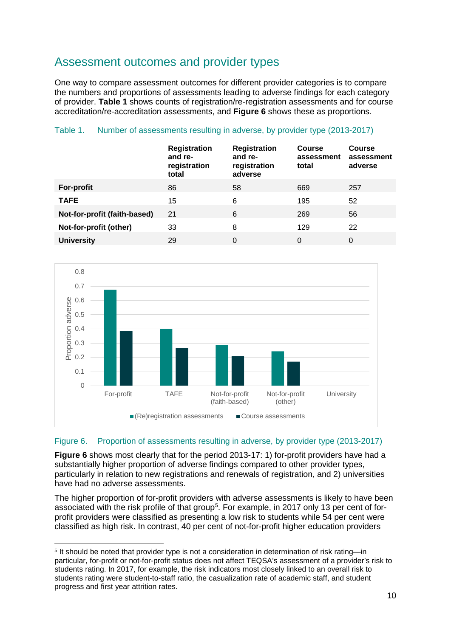## <span id="page-11-0"></span>Assessment outcomes and provider types

One way to compare assessment outcomes for different provider categories is to compare the numbers and proportions of assessments leading to adverse findings for each category of provider. **Table 1** shows counts of registration/re-registration assessments and for course accreditation/re-accreditation assessments, and **Figure 6** shows these as proportions.

### Table 1. Number of assessments resulting in adverse, by provider type (2013-2017)

|                              | <b>Registration</b><br>and re-<br>registration<br>total | <b>Registration</b><br>and re-<br>registration<br>adverse | <b>Course</b><br>assessment<br>total | <b>Course</b><br>assessment<br>adverse |
|------------------------------|---------------------------------------------------------|-----------------------------------------------------------|--------------------------------------|----------------------------------------|
| For-profit                   | 86                                                      | 58                                                        | 669                                  | 257                                    |
| <b>TAFE</b>                  | 15                                                      | 6                                                         | 195                                  | 52                                     |
| Not-for-profit (faith-based) | 21                                                      | 6                                                         | 269                                  | 56                                     |
| Not-for-profit (other)       | 33                                                      | 8                                                         | 129                                  | 22                                     |
| <b>University</b>            | 29                                                      | 0                                                         | 0                                    | 0                                      |



### Figure 6. Proportion of assessments resulting in adverse, by provider type (2013-2017)

**Figure 6** shows most clearly that for the period 2013-17: 1) for-profit providers have had a substantially higher proportion of adverse findings compared to other provider types, particularly in relation to new registrations and renewals of registration, and 2) universities have had no adverse assessments.

The higher proportion of for-profit providers with adverse assessments is likely to have been associated with the risk profile of that group<sup>[5](#page-11-1)</sup>. For example, in 2017 only 13 per cent of forprofit providers were classified as presenting a low risk to students while 54 per cent were classified as high risk. In contrast, 40 per cent of not-for-profit higher education providers

<span id="page-11-1"></span> <sup>5</sup> It should be noted that provider type is not a consideration in determination of risk rating—in particular, for-profit or not-for-profit status does not affect TEQSA's assessment of a provider's risk to students rating. In 2017, for example, the risk indicators most closely linked to an overall risk to students rating were student-to-staff ratio, the casualization rate of academic staff, and student progress and first year attrition rates.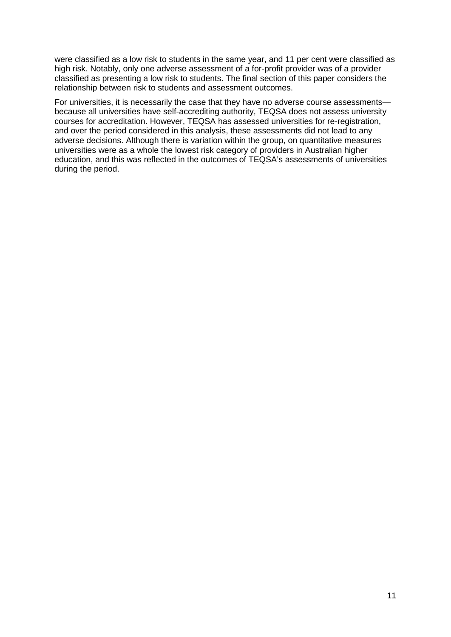were classified as a low risk to students in the same year, and 11 per cent were classified as high risk. Notably, only one adverse assessment of a for-profit provider was of a provider classified as presenting a low risk to students. The final section of this paper considers the relationship between risk to students and assessment outcomes.

For universities, it is necessarily the case that they have no adverse course assessments because all universities have self-accrediting authority, TEQSA does not assess university courses for accreditation. However, TEQSA has assessed universities for re-registration, and over the period considered in this analysis, these assessments did not lead to any adverse decisions. Although there is variation within the group, on quantitative measures universities were as a whole the lowest risk category of providers in Australian higher education, and this was reflected in the outcomes of TEQSA's assessments of universities during the period.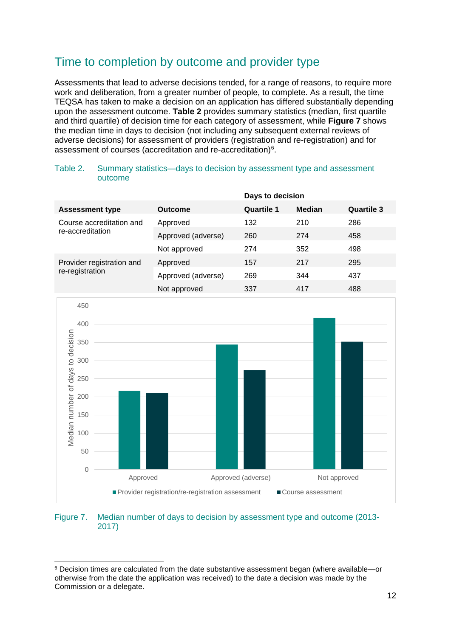## <span id="page-13-0"></span>Time to completion by outcome and provider type

Assessments that lead to adverse decisions tended, for a range of reasons, to require more work and deliberation, from a greater number of people, to complete. As a result, the time TEQSA has taken to make a decision on an application has differed substantially depending upon the assessment outcome. **Table 2** provides summary statistics (median, first quartile and third quartile) of decision time for each category of assessment, while **Figure 7** shows the median time in days to decision (not including any subsequent external reviews of adverse decisions) for assessment of providers (registration and re-registration) and for assessment of courses (accreditation and re-accreditation)<sup>[6](#page-13-1)</sup>.

Table 2. Summary statistics—days to decision by assessment type and assessment outcome

|                                                                       |                    | Days to decision   |               |                   |
|-----------------------------------------------------------------------|--------------------|--------------------|---------------|-------------------|
| <b>Assessment type</b>                                                | <b>Outcome</b>     | <b>Quartile 1</b>  | <b>Median</b> | <b>Quartile 3</b> |
| Course accreditation and<br>re-accreditation                          | Approved           | 132                | 210           | 286               |
|                                                                       | Approved (adverse) | 260                | 274           | 458               |
|                                                                       | Not approved       | 274                | 352           | 498               |
| Provider registration and                                             | Approved           | 157                | 217           | 295               |
| re-registration                                                       | Approved (adverse) | 269                | 344           | 437               |
|                                                                       | Not approved       | 337                | 417           | 488               |
| 450                                                                   |                    |                    |               |                   |
|                                                                       |                    |                    |               |                   |
| 400                                                                   |                    |                    |               |                   |
| 350                                                                   |                    |                    |               |                   |
| 300                                                                   |                    |                    |               |                   |
|                                                                       |                    |                    |               |                   |
| 250                                                                   |                    |                    |               |                   |
| Median number of days to decision<br>200                              |                    |                    |               |                   |
| 150                                                                   |                    |                    |               |                   |
|                                                                       |                    |                    |               |                   |
| 100                                                                   |                    |                    |               |                   |
| 50                                                                    |                    |                    |               |                   |
| $\mathbf{0}$                                                          |                    |                    |               |                   |
| Approved                                                              |                    | Approved (adverse) |               | Not approved      |
| Provider registration/re-registration assessment<br>Course assessment |                    |                    |               |                   |

#### Figure 7. Median number of days to decision by assessment type and outcome (2013- 2017)

<span id="page-13-1"></span> <sup>6</sup> Decision times are calculated from the date substantive assessment began (where available—or otherwise from the date the application was received) to the date a decision was made by the Commission or a delegate.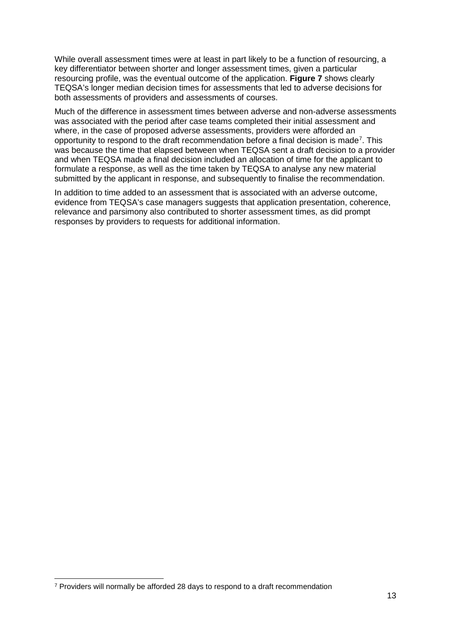While overall assessment times were at least in part likely to be a function of resourcing, a key differentiator between shorter and longer assessment times, given a particular resourcing profile, was the eventual outcome of the application. **Figure 7** shows clearly TEQSA's longer median decision times for assessments that led to adverse decisions for both assessments of providers and assessments of courses.

Much of the difference in assessment times between adverse and non-adverse assessments was associated with the period after case teams completed their initial assessment and where, in the case of proposed adverse assessments, providers were afforded an opportunity to respond to the draft recommendation before a final decision is made<sup>[7](#page-14-0)</sup>. This was because the time that elapsed between when TEQSA sent a draft decision to a provider and when TEQSA made a final decision included an allocation of time for the applicant to formulate a response, as well as the time taken by TEQSA to analyse any new material submitted by the applicant in response, and subsequently to finalise the recommendation.

In addition to time added to an assessment that is associated with an adverse outcome, evidence from TEQSA's case managers suggests that application presentation, coherence, relevance and parsimony also contributed to shorter assessment times, as did prompt responses by providers to requests for additional information.

<span id="page-14-0"></span> <sup>7</sup> Providers will normally be afforded 28 days to respond to a draft recommendation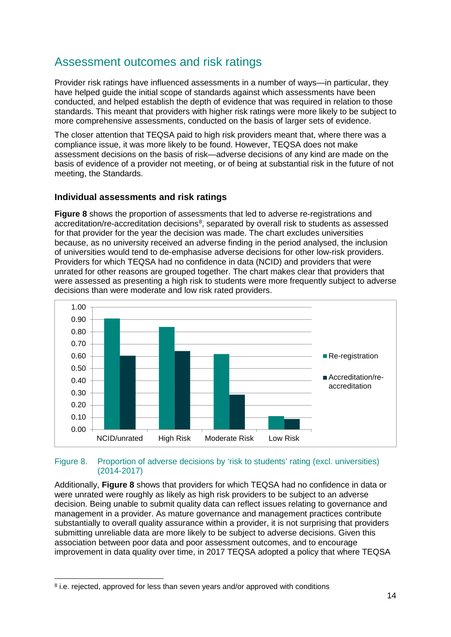## <span id="page-15-0"></span>Assessment outcomes and risk ratings

Provider risk ratings have influenced assessments in a number of ways—in particular, they have helped guide the initial scope of standards against which assessments have been conducted, and helped establish the depth of evidence that was required in relation to those standards. This meant that providers with higher risk ratings were more likely to be subject to more comprehensive assessments, conducted on the basis of larger sets of evidence.

The closer attention that TEQSA paid to high risk providers meant that, where there was a compliance issue, it was more likely to be found. However, TEQSA does not make assessment decisions on the basis of risk—adverse decisions of any kind are made on the basis of evidence of a provider not meeting, or of being at substantial risk in the future of not meeting, the Standards.

### **Individual assessments and risk ratings**

**Figure 8** shows the proportion of assessments that led to adverse re-registrations and accreditation/re-accreditation decisions<sup>[8](#page-15-1)</sup>, separated by overall risk to students as assessed for that provider for the year the decision was made. The chart excludes universities because, as no university received an adverse finding in the period analysed, the inclusion of universities would tend to de-emphasise adverse decisions for other low-risk providers. Providers for which TEQSA had no confidence in data (NCID) and providers that were unrated for other reasons are grouped together. The chart makes clear that providers that were assessed as presenting a high risk to students were more frequently subject to adverse decisions than were moderate and low risk rated providers.



#### Figure 8. Proportion of adverse decisions by 'risk to students' rating (excl. universities) (2014-2017)

Additionally, **Figure 8** shows that providers for which TEQSA had no confidence in data or were unrated were roughly as likely as high risk providers to be subject to an adverse decision. Being unable to submit quality data can reflect issues relating to governance and management in a provider. As mature governance and management practices contribute substantially to overall quality assurance within a provider, it is not surprising that providers submitting unreliable data are more likely to be subject to adverse decisions. Given this association between poor data and poor assessment outcomes, and to encourage improvement in data quality over time, in 2017 TEQSA adopted a policy that where TEQSA

<span id="page-15-1"></span> <sup>8</sup> i.e. rejected, approved for less than seven years and/or approved with conditions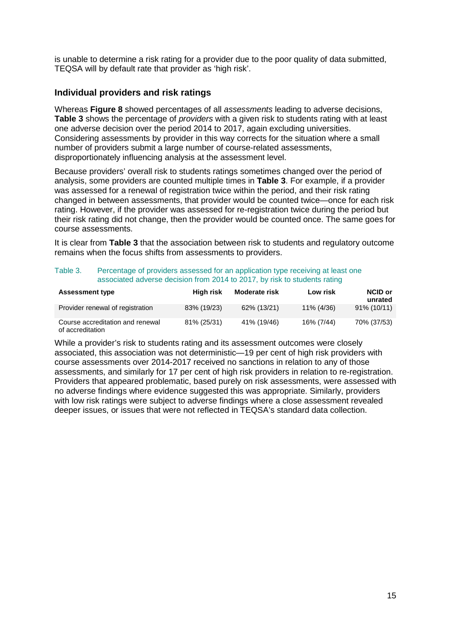is unable to determine a risk rating for a provider due to the poor quality of data submitted, TEQSA will by default rate that provider as 'high risk'.

### **Individual providers and risk ratings**

Whereas **Figure 8** showed percentages of all *assessments* leading to adverse decisions, **Table 3** shows the percentage of *providers* with a given risk to students rating with at least one adverse decision over the period 2014 to 2017, again excluding universities. Considering assessments by provider in this way corrects for the situation where a small number of providers submit a large number of course-related assessments, disproportionately influencing analysis at the assessment level.

Because providers' overall risk to students ratings sometimes changed over the period of analysis, some providers are counted multiple times in **Table 3**. For example, if a provider was assessed for a renewal of registration twice within the period, and their risk rating changed in between assessments, that provider would be counted twice—once for each risk rating. However, if the provider was assessed for re-registration twice during the period but their risk rating did not change, then the provider would be counted once. The same goes for course assessments.

It is clear from **Table 3** that the association between risk to students and regulatory outcome remains when the focus shifts from assessments to providers.

| Table 3. | Percentage of providers assessed for an application type receiving at least one |
|----------|---------------------------------------------------------------------------------|
|          | associated adverse decision from 2014 to 2017, by risk to students rating       |

| <b>Assessment type</b>                               | High risk   | <b>Moderate risk</b> | Low risk   | NCID or<br>unrated |
|------------------------------------------------------|-------------|----------------------|------------|--------------------|
| Provider renewal of registration                     | 83% (19/23) | 62% (13/21)          | 11% (4/36) | 91% (10/11)        |
| Course accreditation and renewal<br>of accreditation | 81% (25/31) | 41% (19/46)          | 16% (7/44) | 70% (37/53)        |

While a provider's risk to students rating and its assessment outcomes were closely associated, this association was not deterministic—19 per cent of high risk providers with course assessments over 2014-2017 received no sanctions in relation to any of those assessments, and similarly for 17 per cent of high risk providers in relation to re-registration. Providers that appeared problematic, based purely on risk assessments, were assessed with no adverse findings where evidence suggested this was appropriate. Similarly, providers with low risk ratings were subject to adverse findings where a close assessment revealed deeper issues, or issues that were not reflected in TEQSA's standard data collection.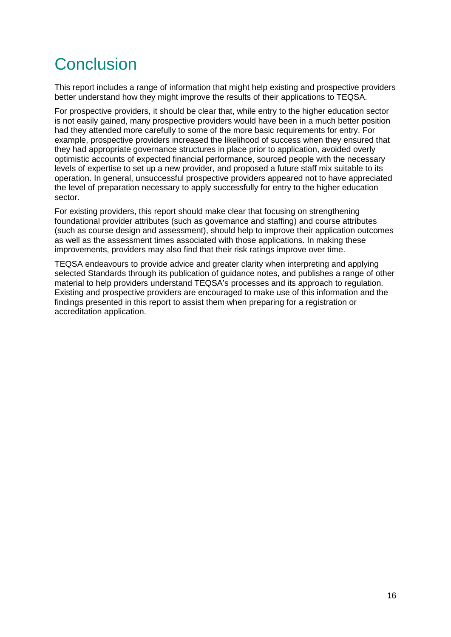## <span id="page-17-0"></span>**Conclusion**

This report includes a range of information that might help existing and prospective providers better understand how they might improve the results of their applications to TEQSA.

For prospective providers, it should be clear that, while entry to the higher education sector is not easily gained, many prospective providers would have been in a much better position had they attended more carefully to some of the more basic requirements for entry. For example, prospective providers increased the likelihood of success when they ensured that they had appropriate governance structures in place prior to application, avoided overly optimistic accounts of expected financial performance, sourced people with the necessary levels of expertise to set up a new provider, and proposed a future staff mix suitable to its operation. In general, unsuccessful prospective providers appeared not to have appreciated the level of preparation necessary to apply successfully for entry to the higher education sector.

For existing providers, this report should make clear that focusing on strengthening foundational provider attributes (such as governance and staffing) and course attributes (such as course design and assessment), should help to improve their application outcomes as well as the assessment times associated with those applications. In making these improvements, providers may also find that their risk ratings improve over time.

TEQSA endeavours to provide advice and greater clarity when interpreting and applying selected Standards through its publication of guidance notes, and publishes a range of other material to help providers understand TEQSA's processes and its approach to regulation. Existing and prospective providers are encouraged to make use of this information and the findings presented in this report to assist them when preparing for a registration or accreditation application.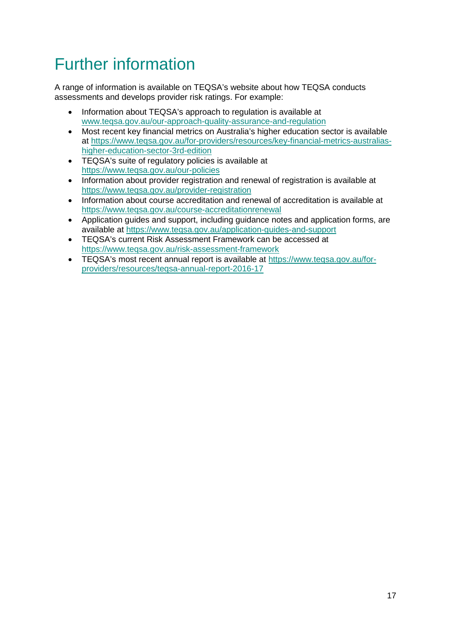## <span id="page-18-0"></span>Further information

A range of information is available on TEQSA's website about how TEQSA conducts assessments and develops provider risk ratings. For example:

- Information about TEQSA's approach to regulation is available at [www.teqsa.gov.au/our-approach-quality-assurance-and-regulation](http://www.teqsa.gov.au/our-approach-quality-assurance-and-regulation)
- Most recent key financial metrics on Australia's higher education sector is available at [https://www.teqsa.gov.au/for-providers/resources/key-financial-metrics-australias](https://www.teqsa.gov.au/for-providers/resources/key-financial-metrics-australias-higher-education-sector-3rd-edition)[higher-education-sector-3rd-edition](https://www.teqsa.gov.au/for-providers/resources/key-financial-metrics-australias-higher-education-sector-3rd-edition)
- TEQSA's suite of regulatory policies is available at <https://www.teqsa.gov.au/our-policies>
- Information about provider registration and renewal of registration is available at <https://www.teqsa.gov.au/provider-registration>
- Information about course accreditation and renewal of accreditation is available at <https://www.teqsa.gov.au/course-accreditationrenewal>
- Application guides and support, including guidance notes and application forms, are available at<https://www.teqsa.gov.au/application-guides-and-support>
- TEQSA's current Risk Assessment Framework can be accessed at <https://www.teqsa.gov.au/risk-assessment-framework>
- TEQSA's most recent annual report is available at [https://www.teqsa.gov.au/for](https://www.teqsa.gov.au/for-providers/resources/teqsa-annual-report-2016-17)[providers/resources/teqsa-annual-report-2016-17](https://www.teqsa.gov.au/for-providers/resources/teqsa-annual-report-2016-17)